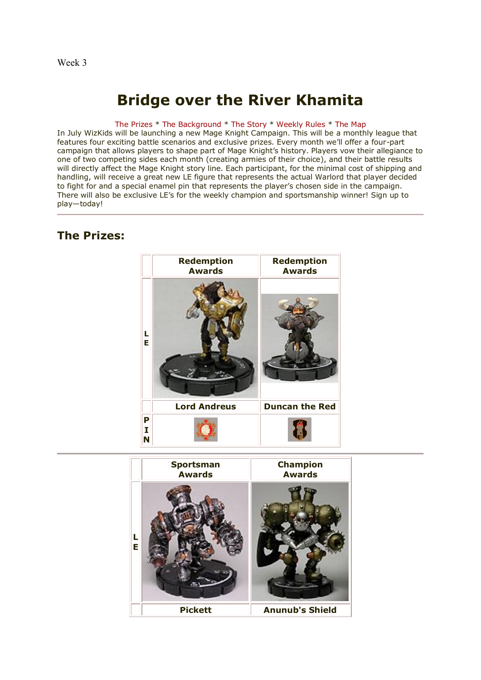# Week 3

# **Bridge over the River Khamita**

#### [The Prizes](http://www.wizkidsgames.com/mageknight/article.asp?cid=36715&frame=talesfromtheland#prizes#prizes) \* [The Background](http://www.wizkidsgames.com/mageknight/article.asp?cid=36715&frame=talesfromtheland#background#background) \* [The Story](http://www.wizkidsgames.com/mageknight/article.asp?cid=36715&frame=talesfromtheland#story#story) \* [Weekly Rules](http://www.wizkidsgames.com/mageknight/article.asp?cid=36715&frame=talesfromtheland#week#week) \* [The Map](http://www.wizkidsgames.com/mageknight/article.asp?cid=36715&frame=talesfromtheland#map#map)

In July WizKids will be launching a new Mage Knight Campaign. This will be a monthly league that features four exciting battle scenarios and exclusive prizes. Every month we'll offer a four-part campaign that allows players to shape part of Mage Knight's history. Players vow their allegiance to one of two competing sides each month (creating armies of their choice), and their battle results will directly affect the Mage Knight story line. Each participant, for the minimal cost of shipping and handling, will receive a great new LE figure that represents the actual Warlord that player decided to fight for and a special enamel pin that represents the player's chosen side in the campaign. There will also be exclusive LE's for the weekly champion and sportsmanship winner! Sign up to play—today!

# **The Prizes:**



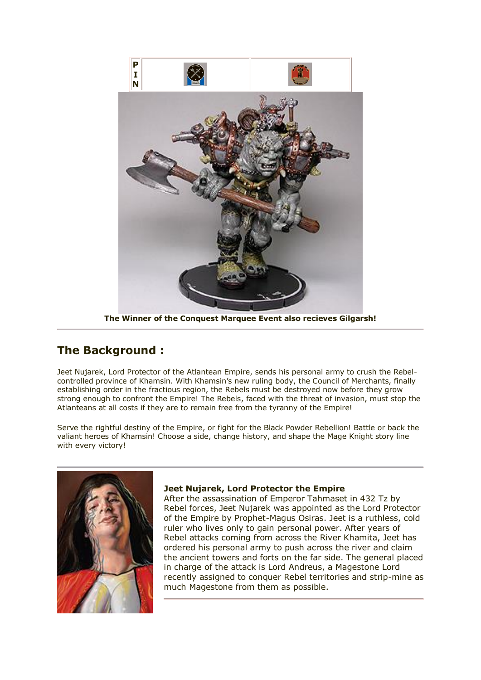

**The Winner of the Conquest Marquee Event also recieves Gilgarsh!**

# **The Background :**

Jeet Nujarek, Lord Protector of the Atlantean Empire, sends his personal army to crush the Rebelcontrolled province of Khamsin. With Khamsin's new ruling body, the Council of Merchants, finally establishing order in the fractious region, the Rebels must be destroyed now before they grow strong enough to confront the Empire! The Rebels, faced with the threat of invasion, must stop the Atlanteans at all costs if they are to remain free from the tyranny of the Empire!

Serve the rightful destiny of the Empire, or fight for the Black Powder Rebellion! Battle or back the valiant heroes of Khamsin! Choose a side, change history, and shape the Mage Knight story line with every victory!



# **Jeet Nujarek, Lord Protector the Empire**

After the assassination of Emperor Tahmaset in 432 Tz by Rebel forces, Jeet Nujarek was appointed as the Lord Protector of the Empire by Prophet-Magus Osiras. Jeet is a ruthless, cold ruler who lives only to gain personal power. After years of Rebel attacks coming from across the River Khamita, Jeet has ordered his personal army to push across the river and claim the ancient towers and forts on the far side. The general placed in charge of the attack is Lord Andreus, a Magestone Lord recently assigned to conquer Rebel territories and strip-mine as much Magestone from them as possible.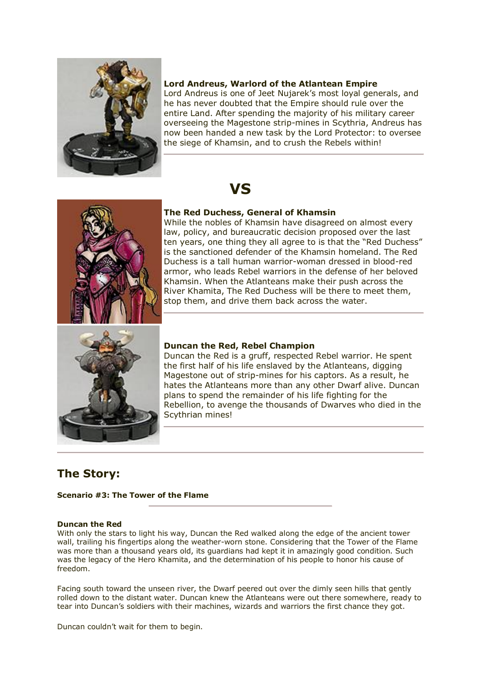

# **Lord Andreus, Warlord of the Atlantean Empire**

Lord Andreus is one of Jeet Nujarek's most loyal generals, and he has never doubted that the Empire should rule over the entire Land. After spending the majority of his military career overseeing the Magestone strip-mines in Scythria, Andreus has now been handed a new task by the Lord Protector: to oversee the siege of Khamsin, and to crush the Rebels within!

# **VS**



# **The Red Duchess, General of Khamsin**

While the nobles of Khamsin have disagreed on almost every law, policy, and bureaucratic decision proposed over the last ten years, one thing they all agree to is that the "Red Duchess" is the sanctioned defender of the Khamsin homeland. The Red Duchess is a tall human warrior-woman dressed in blood-red armor, who leads Rebel warriors in the defense of her beloved Khamsin. When the Atlanteans make their push across the River Khamita, The Red Duchess will be there to meet them, stop them, and drive them back across the water.



# **Duncan the Red, Rebel Champion**

Duncan the Red is a gruff, respected Rebel warrior. He spent the first half of his life enslaved by the Atlanteans, digging Magestone out of strip-mines for his captors. As a result, he hates the Atlanteans more than any other Dwarf alive. Duncan plans to spend the remainder of his life fighting for the Rebellion, to avenge the thousands of Dwarves who died in the Scythrian mines!

# **The Story:**

# **Scenario #3: The Tower of the Flame**

#### **Duncan the Red**

With only the stars to light his way, Duncan the Red walked along the edge of the ancient tower wall, trailing his fingertips along the weather-worn stone. Considering that the Tower of the Flame was more than a thousand years old, its guardians had kept it in amazingly good condition. Such was the legacy of the Hero Khamita, and the determination of his people to honor his cause of freedom.

Facing south toward the unseen river, the Dwarf peered out over the dimly seen hills that gently rolled down to the distant water. Duncan knew the Atlanteans were out there somewhere, ready to tear into Duncan's soldiers with their machines, wizards and warriors the first chance they got.

Duncan couldn't wait for them to begin.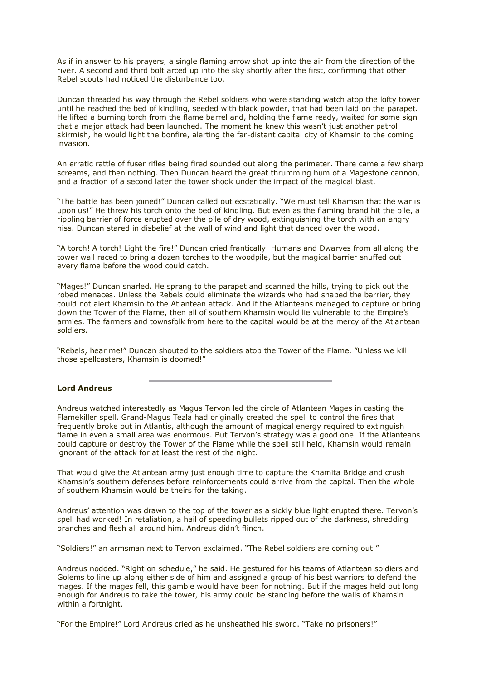As if in answer to his prayers, a single flaming arrow shot up into the air from the direction of the river. A second and third bolt arced up into the sky shortly after the first, confirming that other Rebel scouts had noticed the disturbance too.

Duncan threaded his way through the Rebel soldiers who were standing watch atop the lofty tower until he reached the bed of kindling, seeded with black powder, that had been laid on the parapet. He lifted a burning torch from the flame barrel and, holding the flame ready, waited for some sign that a major attack had been launched. The moment he knew this wasn't just another patrol skirmish, he would light the bonfire, alerting the far-distant capital city of Khamsin to the coming invasion.

An erratic rattle of fuser rifles being fired sounded out along the perimeter. There came a few sharp screams, and then nothing. Then Duncan heard the great thrumming hum of a Magestone cannon, and a fraction of a second later the tower shook under the impact of the magical blast.

"The battle has been joined!" Duncan called out ecstatically. "We must tell Khamsin that the war is upon us!" He threw his torch onto the bed of kindling. But even as the flaming brand hit the pile, a rippling barrier of force erupted over the pile of dry wood, extinguishing the torch with an angry hiss. Duncan stared in disbelief at the wall of wind and light that danced over the wood.

"A torch! A torch! Light the fire!" Duncan cried frantically. Humans and Dwarves from all along the tower wall raced to bring a dozen torches to the woodpile, but the magical barrier snuffed out every flame before the wood could catch.

"Mages!" Duncan snarled. He sprang to the parapet and scanned the hills, trying to pick out the robed menaces. Unless the Rebels could eliminate the wizards who had shaped the barrier, they could not alert Khamsin to the Atlantean attack. And if the Atlanteans managed to capture or bring down the Tower of the Flame, then all of southern Khamsin would lie vulnerable to the Empire's armies. The farmers and townsfolk from here to the capital would be at the mercy of the Atlantean soldiers.

"Rebels, hear me!" Duncan shouted to the soldiers atop the Tower of the Flame. "Unless we kill those spellcasters, Khamsin is doomed!"

# **Lord Andreus**

Andreus watched interestedly as Magus Tervon led the circle of Atlantean Mages in casting the Flamekiller spell. Grand-Magus Tezla had originally created the spell to control the fires that frequently broke out in Atlantis, although the amount of magical energy required to extinguish flame in even a small area was enormous. But Tervon's strategy was a good one. If the Atlanteans could capture or destroy the Tower of the Flame while the spell still held, Khamsin would remain ignorant of the attack for at least the rest of the night.

That would give the Atlantean army just enough time to capture the Khamita Bridge and crush Khamsin's southern defenses before reinforcements could arrive from the capital. Then the whole of southern Khamsin would be theirs for the taking.

Andreus' attention was drawn to the top of the tower as a sickly blue light erupted there. Tervon's spell had worked! In retaliation, a hail of speeding bullets ripped out of the darkness, shredding branches and flesh all around him. Andreus didn't flinch.

"Soldiers!" an armsman next to Tervon exclaimed. "The Rebel soldiers are coming out!"

Andreus nodded. "Right on schedule," he said. He gestured for his teams of Atlantean soldiers and Golems to line up along either side of him and assigned a group of his best warriors to defend the mages. If the mages fell, this gamble would have been for nothing. But if the mages held out long enough for Andreus to take the tower, his army could be standing before the walls of Khamsin within a fortnight.

"For the Empire!" Lord Andreus cried as he unsheathed his sword. "Take no prisoners!"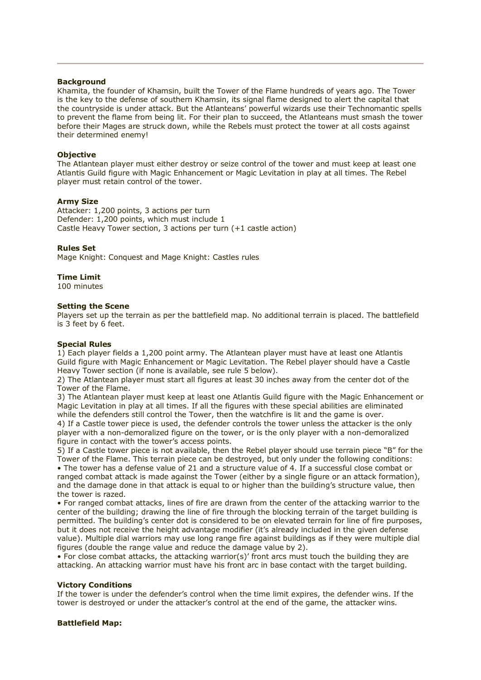#### **Background**

Khamita, the founder of Khamsin, built the Tower of the Flame hundreds of years ago. The Tower is the key to the defense of southern Khamsin, its signal flame designed to alert the capital that the countryside is under attack. But the Atlanteans' powerful wizards use their Technomantic spells to prevent the flame from being lit. For their plan to succeed, the Atlanteans must smash the tower before their Mages are struck down, while the Rebels must protect the tower at all costs against their determined enemy!

#### **Objective**

The Atlantean player must either destroy or seize control of the tower and must keep at least one Atlantis Guild figure with Magic Enhancement or Magic Levitation in play at all times. The Rebel player must retain control of the tower.

#### **Army Size**

Attacker: 1,200 points, 3 actions per turn Defender: 1,200 points, which must include 1 Castle Heavy Tower section, 3 actions per turn (+1 castle action)

# **Rules Set**

Mage Knight: Conquest and Mage Knight: Castles rules

# **Time Limit**

100 minutes

#### **Setting the Scene**

Players set up the terrain as per the battlefield map. No additional terrain is placed. The battlefield is 3 feet by 6 feet.

#### **Special Rules**

1) Each player fields a 1,200 point army. The Atlantean player must have at least one Atlantis Guild figure with Magic Enhancement or Magic Levitation. The Rebel player should have a Castle Heavy Tower section (if none is available, see rule 5 below).

2) The Atlantean player must start all figures at least 30 inches away from the center dot of the Tower of the Flame.

3) The Atlantean player must keep at least one Atlantis Guild figure with the Magic Enhancement or Magic Levitation in play at all times. If all the figures with these special abilities are eliminated while the defenders still control the Tower, then the watchfire is lit and the game is over.

4) If a Castle tower piece is used, the defender controls the tower unless the attacker is the only player with a non-demoralized figure on the tower, or is the only player with a non-demoralized figure in contact with the tower's access points.

5) If a Castle tower piece is not available, then the Rebel player should use terrain piece "B" for the Tower of the Flame. This terrain piece can be destroyed, but only under the following conditions: • The tower has a defense value of 21 and a structure value of 4. If a successful close combat or ranged combat attack is made against the Tower (either by a single figure or an attack formation), and the damage done in that attack is equal to or higher than the building's structure value, then the tower is razed.

• For ranged combat attacks, lines of fire are drawn from the center of the attacking warrior to the center of the building; drawing the line of fire through the blocking terrain of the target building is permitted. The building's center dot is considered to be on elevated terrain for line of fire purposes, but it does not receive the height advantage modifier (it's already included in the given defense value). Multiple dial warriors may use long range fire against buildings as if they were multiple dial figures (double the range value and reduce the damage value by 2).

• For close combat attacks, the attacking warrior(s)' front arcs must touch the building they are attacking. An attacking warrior must have his front arc in base contact with the target building.

#### **Victory Conditions**

If the tower is under the defender's control when the time limit expires, the defender wins. If the tower is destroyed or under the attacker's control at the end of the game, the attacker wins.

# **Battlefield Map:**